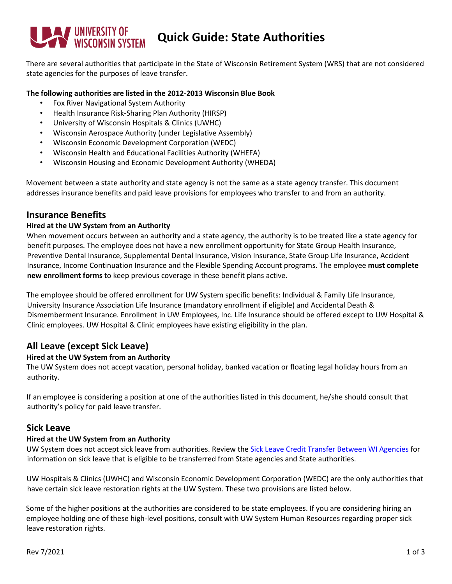# **UNIVERSITY OF WISCONSIN Quick Guide: State Authorities**

There are several authorities that participate in the State of Wisconsin Retirement System (WRS) that are not considered state agencies for the purposes of leave transfer.

#### **The following authorities are listed in the 2012-2013 Wisconsin Blue Book**

- Fox River Navigational System Authority
- Health Insurance Risk-Sharing Plan Authority (HIRSP)
- University of Wisconsin Hospitals & Clinics (UWHC)
- Wisconsin Aerospace Authority (under Legislative Assembly)
- Wisconsin Economic Development Corporation (WEDC)
- Wisconsin Health and Educational Facilities Authority (WHEFA)
- Wisconsin Housing and Economic Development Authority (WHEDA)

Movement between a state authority and state agency is not the same as a state agency transfer. This document addresses insurance benefits and paid leave provisions for employees who transfer to and from an authority.

## **Insurance Benefits**

#### **Hired at the UW System from an Authority**

When movement occurs between an authority and a state agency, the authority is to be treated like a state agency for benefit purposes. The employee does not have a new enrollment opportunity for State Group Health Insurance, Preventive Dental Insurance, Supplemental Dental Insurance, Vision Insurance, State Group Life Insurance, Accident Insurance, Income Continuation Insurance and the Flexible Spending Account programs. The employee **must complete new enrollment forms** to keep previous coverage in these benefit plans active.

The employee should be offered enrollment for UW System specific benefits: Individual & Family Life Insurance, University Insurance Association Life Insurance (mandatory enrollment if eligible) and Accidental Death & Dismemberment Insurance. Enrollment in UW Employees, Inc. Life Insurance should be offered except to UW Hospital & Clinic employees. UW Hospital & Clinic employees have existing eligibility in the plan.

# **All Leave (except Sick Leave)**

## **Hired at the UW System from an Authority**

The UW System does not accept vacation, personal holiday, banked vacation or floating legal holiday hours from an authority.

If an employee is considering a position at one of the authorities listed in this document, he/she should consult that authority's policy for paid leave transfer.

# **Sick Leave**

#### **Hired at the UW System from an Authority**

UW System does not accept sick leave from authorities. Review the [Sick Leave Credit Transfer Between WI Agencies](https://etf.wi.gov/files/accumulated-sick-leave-credit-transfer-between-wisconsin-retirement-system-agencies/download?inline=) for information on sick leave that is eligible to be transferred from State agencies and State authorities.

UW Hospitals & Clinics (UWHC) and Wisconsin Economic Development Corporation (WEDC) are the only authorities that have certain sick leave restoration rights at the UW System. These two provisions are listed below.

Some of the higher positions at the authorities are considered to be state employees. If you are considering hiring an employee holding one of these high-level positions, consult with UW System Human Resources regarding proper sick leave restoration rights.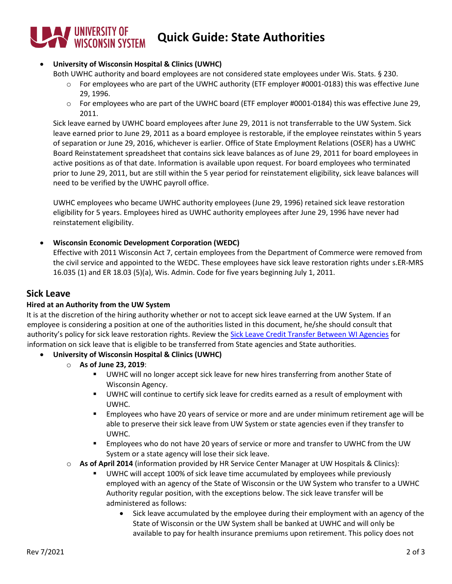# **WINDERSITY OF WISCONSIN SYSTEM Quick Guide: State Authorities**

## • **University of Wisconsin Hospital & Clinics (UWHC)**

Both UWHC authority and board employees are not considered state employees under Wis. Stats. § 230.

- $\circ$  For employees who are part of the UWHC authority (ETF employer #0001-0183) this was effective June 29, 1996.
- $\circ$  For employees who are part of the UWHC board (ETF employer #0001-0184) this was effective June 29, 2011.

Sick leave earned by UWHC board employees after June 29, 2011 is not transferrable to the UW System. Sick leave earned prior to June 29, 2011 as a board employee is restorable, if the employee reinstates within 5 years of separation or June 29, 2016, whichever is earlier. Office of State Employment Relations (OSER) has a UWHC Board Reinstatement spreadsheet that contains sick leave balances as of June 29, 2011 for board employees in active positions as of that date. Information is available upon request. For board employees who terminated prior to June 29, 2011, but are still within the 5 year period for reinstatement eligibility, sick leave balances will need to be verified by the UWHC payroll office.

UWHC employees who became UWHC authority employees (June 29, 1996) retained sick leave restoration eligibility for 5 years. Employees hired as UWHC authority employees after June 29, 1996 have never had reinstatement eligibility.

## • **Wisconsin Economic Development Corporation (WEDC)**

Effective with 2011 Wisconsin Act 7, certain employees from the Department of Commerce were removed from the civil service and appointed to the WEDC. These employees have sick leave restoration rights under s.ER-MRS 16.035 (1) and ER 18.03 (5)(a), Wis. Admin. Code for five years beginning July 1, 2011.

# **Sick Leave**

#### **Hired at an Authority from the UW System**

It is at the discretion of the hiring authority whether or not to accept sick leave earned at the UW System. If an employee is considering a position at one of the authorities listed in this document, he/she should consult that authority's policy for sick leave restoration rights. Review the [Sick Leave Credit Transfer Between WI Agencies](https://etf.wi.gov/files/accumulated-sick-leave-credit-transfer-between-wisconsin-retirement-system-agencies/download?inline=) for information on sick leave that is eligible to be transferred from State agencies and State authorities.

- **University of Wisconsin Hospital & Clinics (UWHC)**
	- o **As of June 23, 2019**:
		- UWHC will no longer accept sick leave for new hires transferring from another State of Wisconsin Agency.
		- UWHC will continue to certify sick leave for credits earned as a result of employment with UWHC.
		- **Employees who have 20 years of service or more and are under minimum retirement age will be** able to preserve their sick leave from UW System or state agencies even if they transfer to UWHC.
		- **Employees who do not have 20 years of service or more and transfer to UWHC from the UW** System or a state agency will lose their sick leave.
	- o **As of April 2014** (information provided by HR Service Center Manager at UW Hospitals & Clinics):
		- UWHC will accept 100% of sick leave time accumulated by employees while previously employed with an agency of the State of Wisconsin or the UW System who transfer to a UWHC Authority regular position, with the exceptions below. The sick leave transfer will be administered as follows:
			- Sick leave accumulated by the employee during their employment with an agency of the State of Wisconsin or the UW System shall be banked at UWHC and will only be available to pay for health insurance premiums upon retirement. This policy does not